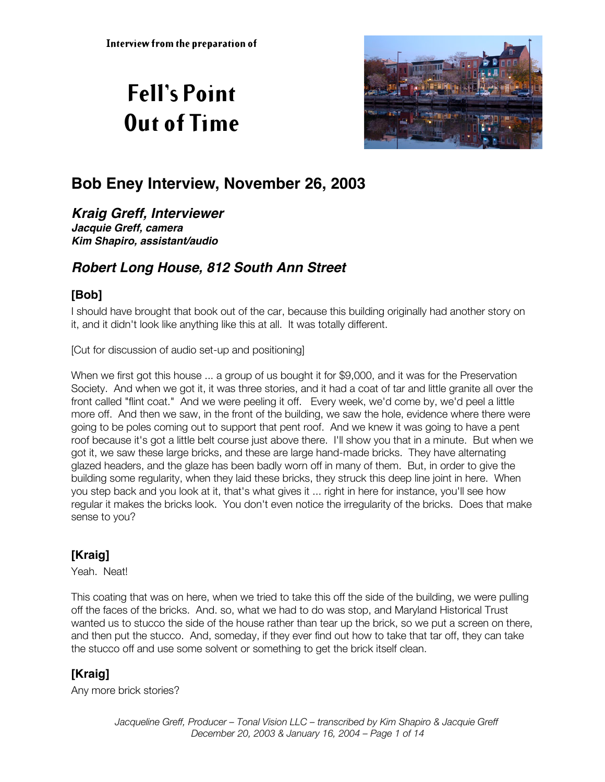# **Fell's Point Out of Time**



# **Bob Eney Interview, November 26, 2003**

**Kraig Greff, Interviewer Jacquie Greff, camera Kim Shapiro, assistant/audio**

# **Robert Long House, 812 South Ann Street**

#### **[Bob]**

I should have brought that book out of the car, because this building originally had another story on it, and it didn't look like anything like this at all. It was totally different.

[Cut for discussion of audio set-up and positioning]

When we first got this house ... a group of us bought it for \$9,000, and it was for the Preservation Society. And when we got it, it was three stories, and it had a coat of tar and little granite all over the front called "flint coat." And we were peeling it off. Every week, we'd come by, we'd peel a little more off. And then we saw, in the front of the building, we saw the hole, evidence where there were going to be poles coming out to support that pent roof. And we knew it was going to have a pent roof because it's got a little belt course just above there. I'll show you that in a minute. But when we got it, we saw these large bricks, and these are large hand-made bricks. They have alternating glazed headers, and the glaze has been badly worn off in many of them. But, in order to give the building some regularity, when they laid these bricks, they struck this deep line joint in here. When you step back and you look at it, that's what gives it ... right in here for instance, you'll see how regular it makes the bricks look. You don't even notice the irregularity of the bricks. Does that make sense to you?

#### **[Kraig]**

Yeah. Neat!

This coating that was on here, when we tried to take this off the side of the building, we were pulling off the faces of the bricks. And. so, what we had to do was stop, and Maryland Historical Trust wanted us to stucco the side of the house rather than tear up the brick, so we put a screen on there, and then put the stucco. And, someday, if they ever find out how to take that tar off, they can take the stucco off and use some solvent or something to get the brick itself clean.

## **[Kraig]**

Any more brick stories?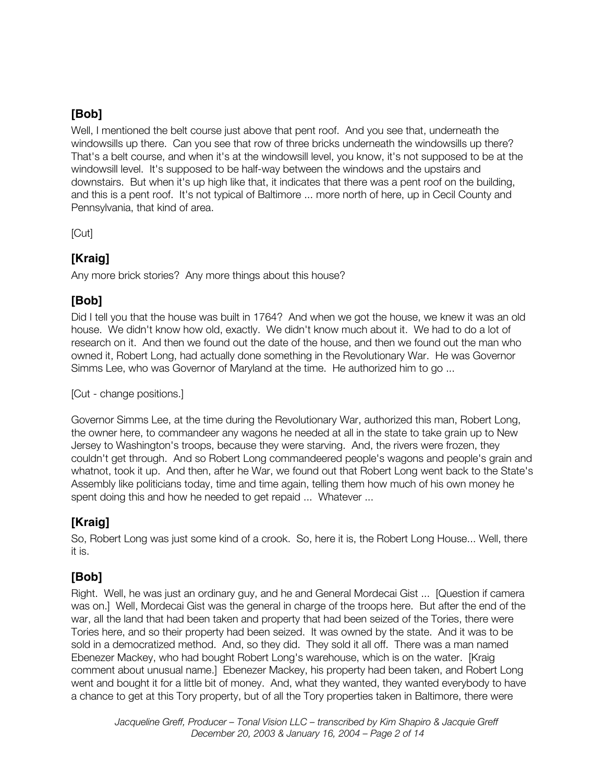#### **[Bob]**

Well, I mentioned the belt course just above that pent roof. And you see that, underneath the windowsills up there. Can you see that row of three bricks underneath the windowsills up there? That's a belt course, and when it's at the windowsill level, you know, it's not supposed to be at the windowsill level. It's supposed to be half-way between the windows and the upstairs and downstairs. But when it's up high like that, it indicates that there was a pent roof on the building, and this is a pent roof. It's not typical of Baltimore ... more north of here, up in Cecil County and Pennsylvania, that kind of area.

[Cut]

#### **[Kraig]**

Any more brick stories? Any more things about this house?

## **[Bob]**

Did I tell you that the house was built in 1764? And when we got the house, we knew it was an old house. We didn't know how old, exactly. We didn't know much about it. We had to do a lot of research on it. And then we found out the date of the house, and then we found out the man who owned it, Robert Long, had actually done something in the Revolutionary War. He was Governor Simms Lee, who was Governor of Maryland at the time. He authorized him to go ...

[Cut - change positions.]

Governor Simms Lee, at the time during the Revolutionary War, authorized this man, Robert Long, the owner here, to commandeer any wagons he needed at all in the state to take grain up to New Jersey to Washington's troops, because they were starving. And, the rivers were frozen, they couldn't get through. And so Robert Long commandeered people's wagons and people's grain and whatnot, took it up. And then, after he War, we found out that Robert Long went back to the State's Assembly like politicians today, time and time again, telling them how much of his own money he spent doing this and how he needed to get repaid ... Whatever ...

#### **[Kraig]**

So, Robert Long was just some kind of a crook. So, here it is, the Robert Long House... Well, there it is.

# **[Bob]**

Right. Well, he was just an ordinary guy, and he and General Mordecai Gist ... [Question if camera was on.] Well, Mordecai Gist was the general in charge of the troops here. But after the end of the war, all the land that had been taken and property that had been seized of the Tories, there were Tories here, and so their property had been seized. It was owned by the state. And it was to be sold in a democratized method. And, so they did. They sold it all off. There was a man named Ebenezer Mackey, who had bought Robert Long's warehouse, which is on the water. [Kraig comment about unusual name.] Ebenezer Mackey, his property had been taken, and Robert Long went and bought it for a little bit of money. And, what they wanted, they wanted everybody to have a chance to get at this Tory property, but of all the Tory properties taken in Baltimore, there were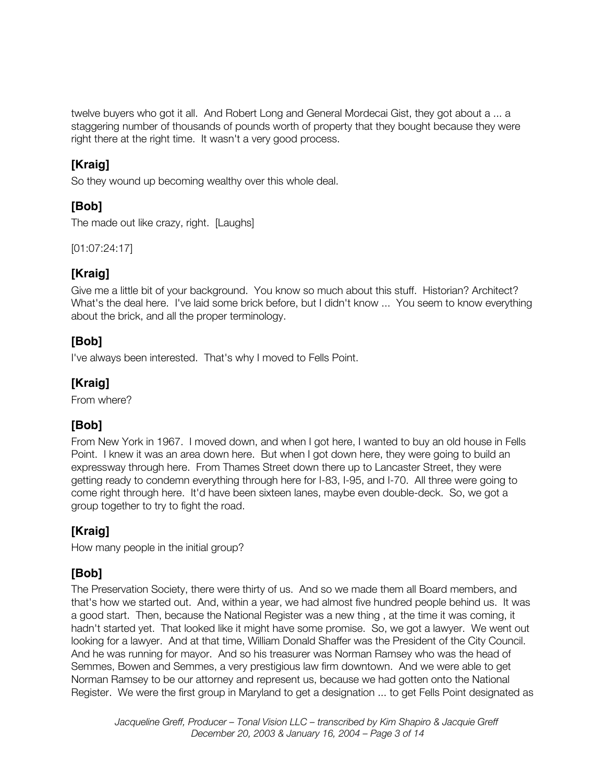twelve buyers who got it all. And Robert Long and General Mordecai Gist, they got about a ... a staggering number of thousands of pounds worth of property that they bought because they were right there at the right time. It wasn't a very good process.

## **[Kraig]**

So they wound up becoming wealthy over this whole deal.

# **[Bob]**

The made out like crazy, right. [Laughs]

[01:07:24:17]

## **[Kraig]**

Give me a little bit of your background. You know so much about this stuff. Historian? Architect? What's the deal here. I've laid some brick before, but I didn't know ... You seem to know everything about the brick, and all the proper terminology.

## **[Bob]**

I've always been interested. That's why I moved to Fells Point.

# **[Kraig]**

From where?

# **[Bob]**

From New York in 1967. I moved down, and when I got here, I wanted to buy an old house in Fells Point. I knew it was an area down here. But when I got down here, they were going to build an expressway through here. From Thames Street down there up to Lancaster Street, they were getting ready to condemn everything through here for I-83, I-95, and I-70. All three were going to come right through here. It'd have been sixteen lanes, maybe even double-deck. So, we got a group together to try to fight the road.

# **[Kraig]**

How many people in the initial group?

# **[Bob]**

The Preservation Society, there were thirty of us. And so we made them all Board members, and that's how we started out. And, within a year, we had almost five hundred people behind us. It was a good start. Then, because the National Register was a new thing , at the time it was coming, it hadn't started yet. That looked like it might have some promise. So, we got a lawyer. We went out looking for a lawyer. And at that time, William Donald Shaffer was the President of the City Council. And he was running for mayor. And so his treasurer was Norman Ramsey who was the head of Semmes, Bowen and Semmes, a very prestigious law firm downtown. And we were able to get Norman Ramsey to be our attorney and represent us, because we had gotten onto the National Register. We were the first group in Maryland to get a designation ... to get Fells Point designated as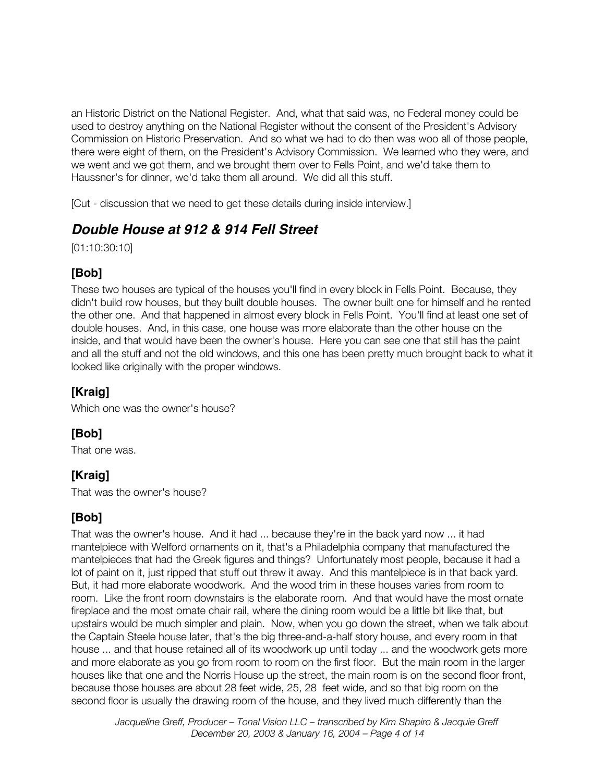an Historic District on the National Register. And, what that said was, no Federal money could be used to destroy anything on the National Register without the consent of the President's Advisory Commission on Historic Preservation. And so what we had to do then was woo all of those people, there were eight of them, on the President's Advisory Commission. We learned who they were, and we went and we got them, and we brought them over to Fells Point, and we'd take them to Haussner's for dinner, we'd take them all around. We did all this stuff.

[Cut - discussion that we need to get these details during inside interview.]

# **Double House at 912 & 914 Fell Street**

[01:10:30:10]

## **[Bob]**

These two houses are typical of the houses you'll find in every block in Fells Point. Because, they didn't build row houses, but they built double houses. The owner built one for himself and he rented the other one. And that happened in almost every block in Fells Point. You'll find at least one set of double houses. And, in this case, one house was more elaborate than the other house on the inside, and that would have been the owner's house. Here you can see one that still has the paint and all the stuff and not the old windows, and this one has been pretty much brought back to what it looked like originally with the proper windows.

#### **[Kraig]**

Which one was the owner's house?

## **[Bob]**

That one was.

# **[Kraig]**

That was the owner's house?

# **[Bob]**

That was the owner's house. And it had ... because they're in the back yard now ... it had mantelpiece with Welford ornaments on it, that's a Philadelphia company that manufactured the mantelpieces that had the Greek figures and things? Unfortunately most people, because it had a lot of paint on it, just ripped that stuff out threw it away. And this mantelpiece is in that back yard. But, it had more elaborate woodwork. And the wood trim in these houses varies from room to room. Like the front room downstairs is the elaborate room. And that would have the most ornate fireplace and the most ornate chair rail, where the dining room would be a little bit like that, but upstairs would be much simpler and plain. Now, when you go down the street, when we talk about the Captain Steele house later, that's the big three-and-a-half story house, and every room in that house ... and that house retained all of its woodwork up until today ... and the woodwork gets more and more elaborate as you go from room to room on the first floor. But the main room in the larger houses like that one and the Norris House up the street, the main room is on the second floor front, because those houses are about 28 feet wide, 25, 28 feet wide, and so that big room on the second floor is usually the drawing room of the house, and they lived much differently than the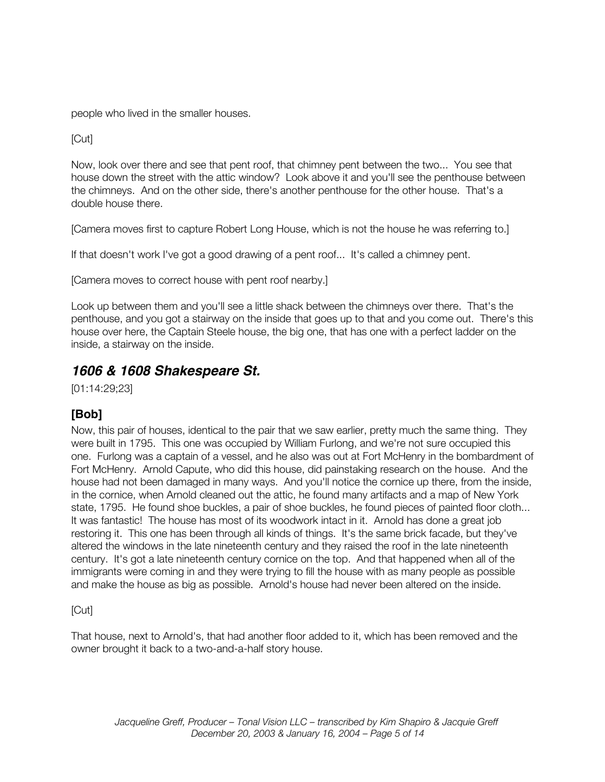people who lived in the smaller houses.

[Cut]

Now, look over there and see that pent roof, that chimney pent between the two... You see that house down the street with the attic window? Look above it and you'll see the penthouse between the chimneys. And on the other side, there's another penthouse for the other house. That's a double house there.

[Camera moves first to capture Robert Long House, which is not the house he was referring to.]

If that doesn't work I've got a good drawing of a pent roof... It's called a chimney pent.

[Camera moves to correct house with pent roof nearby.]

Look up between them and you'll see a little shack between the chimneys over there. That's the penthouse, and you got a stairway on the inside that goes up to that and you come out. There's this house over here, the Captain Steele house, the big one, that has one with a perfect ladder on the inside, a stairway on the inside.

## **1606 & 1608 Shakespeare St.**

[01:14:29;23]

#### **[Bob]**

Now, this pair of houses, identical to the pair that we saw earlier, pretty much the same thing. They were built in 1795. This one was occupied by William Furlong, and we're not sure occupied this one. Furlong was a captain of a vessel, and he also was out at Fort McHenry in the bombardment of Fort McHenry. Arnold Capute, who did this house, did painstaking research on the house. And the house had not been damaged in many ways. And you'll notice the cornice up there, from the inside, in the cornice, when Arnold cleaned out the attic, he found many artifacts and a map of New York state, 1795. He found shoe buckles, a pair of shoe buckles, he found pieces of painted floor cloth... It was fantastic! The house has most of its woodwork intact in it. Arnold has done a great job restoring it. This one has been through all kinds of things. It's the same brick facade, but they've altered the windows in the late nineteenth century and they raised the roof in the late nineteenth century. It's got a late nineteenth century cornice on the top. And that happened when all of the immigrants were coming in and they were trying to fill the house with as many people as possible and make the house as big as possible. Arnold's house had never been altered on the inside.

#### [Cut]

That house, next to Arnold's, that had another floor added to it, which has been removed and the owner brought it back to a two-and-a-half story house.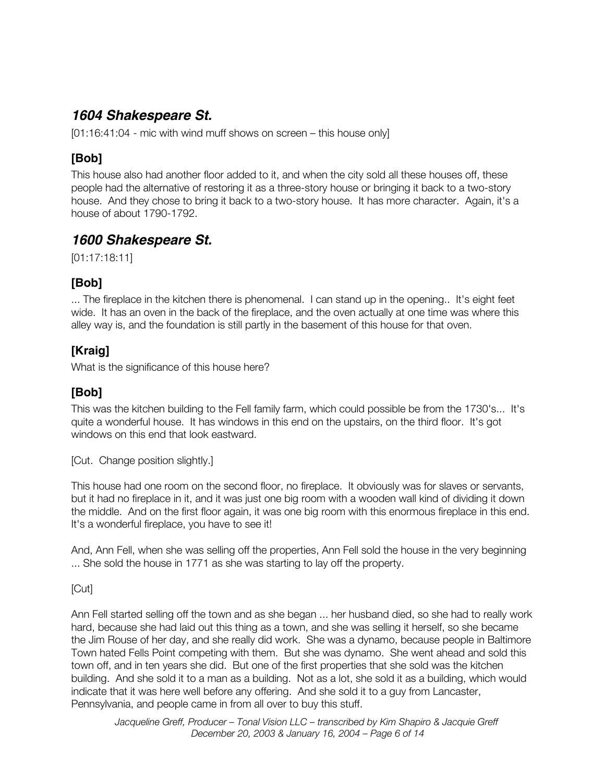# **1604 Shakespeare St.**

[01:16:41:04 - mic with wind muff shows on screen – this house only]

## **[Bob]**

This house also had another floor added to it, and when the city sold all these houses off, these people had the alternative of restoring it as a three-story house or bringing it back to a two-story house. And they chose to bring it back to a two-story house. It has more character. Again, it's a house of about 1790-1792.

# **1600 Shakespeare St.**

[01:17:18:11]

## **[Bob]**

... The fireplace in the kitchen there is phenomenal. I can stand up in the opening.. It's eight feet wide. It has an oven in the back of the fireplace, and the oven actually at one time was where this alley way is, and the foundation is still partly in the basement of this house for that oven.

## **[Kraig]**

What is the significance of this house here?

#### **[Bob]**

This was the kitchen building to the Fell family farm, which could possible be from the 1730's... It's quite a wonderful house. It has windows in this end on the upstairs, on the third floor. It's got windows on this end that look eastward.

[Cut. Change position slightly.]

This house had one room on the second floor, no fireplace. It obviously was for slaves or servants, but it had no fireplace in it, and it was just one big room with a wooden wall kind of dividing it down the middle. And on the first floor again, it was one big room with this enormous fireplace in this end. It's a wonderful fireplace, you have to see it!

And, Ann Fell, when she was selling off the properties, Ann Fell sold the house in the very beginning ... She sold the house in 1771 as she was starting to lay off the property.

#### [Cut]

Ann Fell started selling off the town and as she began ... her husband died, so she had to really work hard, because she had laid out this thing as a town, and she was selling it herself, so she became the Jim Rouse of her day, and she really did work. She was a dynamo, because people in Baltimore Town hated Fells Point competing with them. But she was dynamo. She went ahead and sold this town off, and in ten years she did. But one of the first properties that she sold was the kitchen building. And she sold it to a man as a building. Not as a lot, she sold it as a building, which would indicate that it was here well before any offering. And she sold it to a guy from Lancaster, Pennsylvania, and people came in from all over to buy this stuff.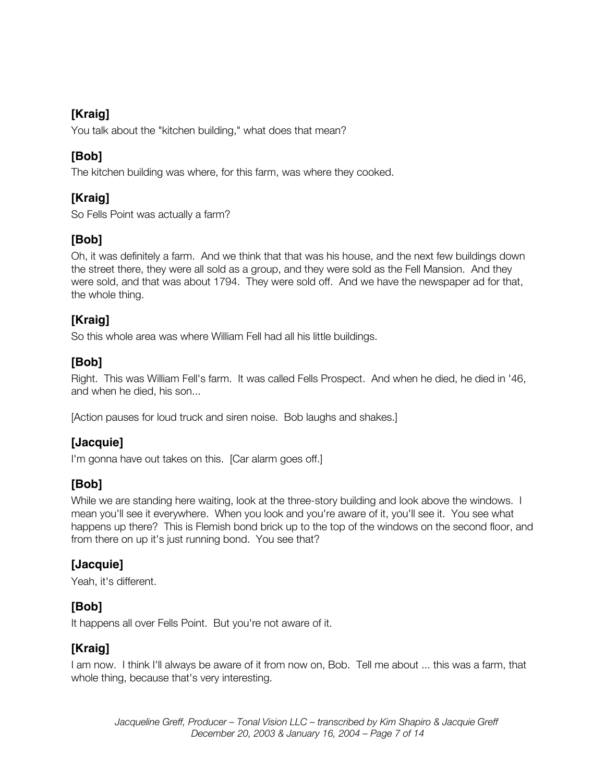## **[Kraig]**

You talk about the "kitchen building," what does that mean?

## **[Bob]**

The kitchen building was where, for this farm, was where they cooked.

# **[Kraig]**

So Fells Point was actually a farm?

# **[Bob]**

Oh, it was definitely a farm. And we think that that was his house, and the next few buildings down the street there, they were all sold as a group, and they were sold as the Fell Mansion. And they were sold, and that was about 1794. They were sold off. And we have the newspaper ad for that, the whole thing.

# **[Kraig]**

So this whole area was where William Fell had all his little buildings.

# **[Bob]**

Right. This was William Fell's farm. It was called Fells Prospect. And when he died, he died in '46, and when he died, his son...

[Action pauses for loud truck and siren noise. Bob laughs and shakes.]

# **[Jacquie]**

I'm gonna have out takes on this. [Car alarm goes off.]

# **[Bob]**

While we are standing here waiting, look at the three-story building and look above the windows. I mean you'll see it everywhere. When you look and you're aware of it, you'll see it. You see what happens up there? This is Flemish bond brick up to the top of the windows on the second floor, and from there on up it's just running bond. You see that?

## **[Jacquie]**

Yeah, it's different.

# **[Bob]**

It happens all over Fells Point. But you're not aware of it.

## **[Kraig]**

I am now. I think I'll always be aware of it from now on, Bob. Tell me about ... this was a farm, that whole thing, because that's very interesting.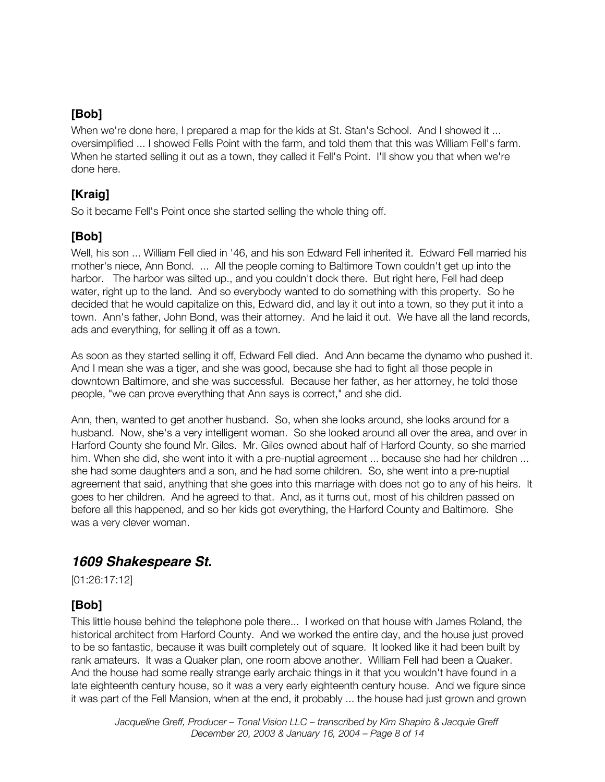#### **[Bob]**

When we're done here, I prepared a map for the kids at St. Stan's School. And I showed it ... oversimplified ... I showed Fells Point with the farm, and told them that this was William Fell's farm. When he started selling it out as a town, they called it Fell's Point. I'll show you that when we're done here.

#### **[Kraig]**

So it became Fell's Point once she started selling the whole thing off.

## **[Bob]**

Well, his son ... William Fell died in '46, and his son Edward Fell inherited it. Edward Fell married his mother's niece, Ann Bond. ... All the people coming to Baltimore Town couldn't get up into the harbor. The harbor was silted up., and you couldn't dock there. But right here, Fell had deep water, right up to the land. And so everybody wanted to do something with this property. So he decided that he would capitalize on this, Edward did, and lay it out into a town, so they put it into a town. Ann's father, John Bond, was their attorney. And he laid it out. We have all the land records, ads and everything, for selling it off as a town.

As soon as they started selling it off, Edward Fell died. And Ann became the dynamo who pushed it. And I mean she was a tiger, and she was good, because she had to fight all those people in downtown Baltimore, and she was successful. Because her father, as her attorney, he told those people, "we can prove everything that Ann says is correct," and she did.

Ann, then, wanted to get another husband. So, when she looks around, she looks around for a husband. Now, she's a very intelligent woman. So she looked around all over the area, and over in Harford County she found Mr. Giles. Mr. Giles owned about half of Harford County, so she married him. When she did, she went into it with a pre-nuptial agreement ... because she had her children ... she had some daughters and a son, and he had some children. So, she went into a pre-nuptial agreement that said, anything that she goes into this marriage with does not go to any of his heirs. It goes to her children. And he agreed to that. And, as it turns out, most of his children passed on before all this happened, and so her kids got everything, the Harford County and Baltimore. She was a very clever woman.

## **1609 Shakespeare St.**

[01:26:17:12]

## **[Bob]**

This little house behind the telephone pole there... I worked on that house with James Roland, the historical architect from Harford County. And we worked the entire day, and the house just proved to be so fantastic, because it was built completely out of square. It looked like it had been built by rank amateurs. It was a Quaker plan, one room above another. William Fell had been a Quaker. And the house had some really strange early archaic things in it that you wouldn't have found in a late eighteenth century house, so it was a very early eighteenth century house. And we figure since it was part of the Fell Mansion, when at the end, it probably ... the house had just grown and grown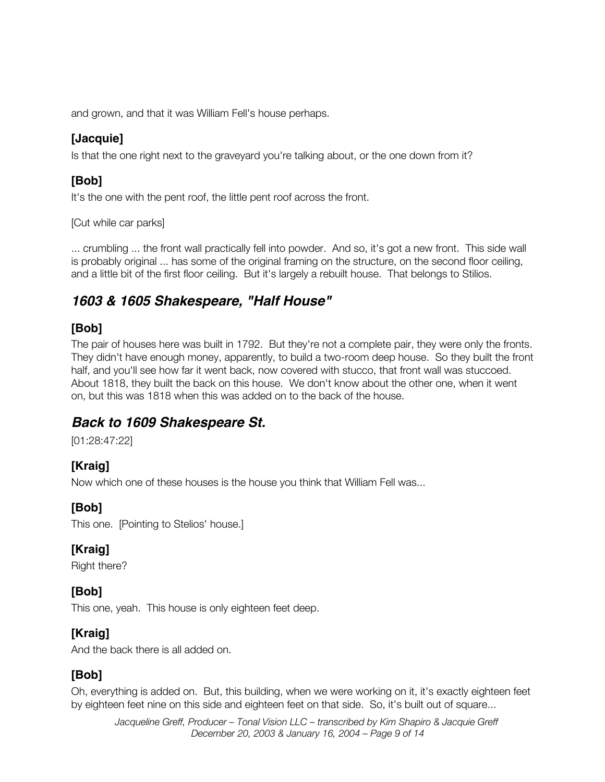and grown, and that it was William Fell's house perhaps.

# **[Jacquie]**

Is that the one right next to the graveyard you're talking about, or the one down from it?

## **[Bob]**

It's the one with the pent roof, the little pent roof across the front.

[Cut while car parks]

... crumbling ... the front wall practically fell into powder. And so, it's got a new front. This side wall is probably original ... has some of the original framing on the structure, on the second floor ceiling, and a little bit of the first floor ceiling. But it's largely a rebuilt house. That belongs to Stilios.

# **1603 & 1605 Shakespeare, "Half House"**

#### **[Bob]**

The pair of houses here was built in 1792. But they're not a complete pair, they were only the fronts. They didn't have enough money, apparently, to build a two-room deep house. So they built the front half, and you'll see how far it went back, now covered with stucco, that front wall was stuccoed. About 1818, they built the back on this house. We don't know about the other one, when it went on, but this was 1818 when this was added on to the back of the house.

# **Back to 1609 Shakespeare St.**

[01:28:47:22]

# **[Kraig]**

Now which one of these houses is the house you think that William Fell was...

# **[Bob]**

This one. [Pointing to Stelios' house.]

## **[Kraig]**

Right there?

# **[Bob]**

This one, yeah. This house is only eighteen feet deep.

## **[Kraig]**

And the back there is all added on.

# **[Bob]**

Oh, everything is added on. But, this building, when we were working on it, it's exactly eighteen feet by eighteen feet nine on this side and eighteen feet on that side. So, it's built out of square...

*Jacqueline Greff, Producer – Tonal Vision LLC – transcribed by Kim Shapiro & Jacquie Greff December 20, 2003 & January 16, 2004 – Page 9 of 14*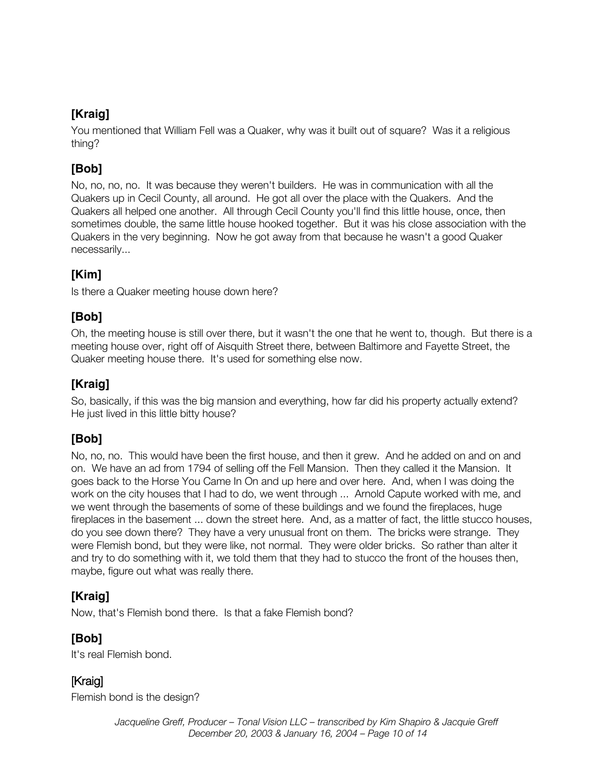## **[Kraig]**

You mentioned that William Fell was a Quaker, why was it built out of square? Was it a religious thing?

# **[Bob]**

No, no, no, no. It was because they weren't builders. He was in communication with all the Quakers up in Cecil County, all around. He got all over the place with the Quakers. And the Quakers all helped one another. All through Cecil County you'll find this little house, once, then sometimes double, the same little house hooked together. But it was his close association with the Quakers in the very beginning. Now he got away from that because he wasn't a good Quaker necessarily...

#### **[Kim]**

Is there a Quaker meeting house down here?

## **[Bob]**

Oh, the meeting house is still over there, but it wasn't the one that he went to, though. But there is a meeting house over, right off of Aisquith Street there, between Baltimore and Fayette Street, the Quaker meeting house there. It's used for something else now.

## **[Kraig]**

So, basically, if this was the big mansion and everything, how far did his property actually extend? He just lived in this little bitty house?

## **[Bob]**

No, no, no. This would have been the first house, and then it grew. And he added on and on and on. We have an ad from 1794 of selling off the Fell Mansion. Then they called it the Mansion. It goes back to the Horse You Came In On and up here and over here. And, when I was doing the work on the city houses that I had to do, we went through ... Arnold Capute worked with me, and we went through the basements of some of these buildings and we found the fireplaces, huge fireplaces in the basement ... down the street here. And, as a matter of fact, the little stucco houses, do you see down there? They have a very unusual front on them. The bricks were strange. They were Flemish bond, but they were like, not normal. They were older bricks. So rather than alter it and try to do something with it, we told them that they had to stucco the front of the houses then, maybe, figure out what was really there.

## **[Kraig]**

Now, that's Flemish bond there. Is that a fake Flemish bond?

## **[Bob]**

It's real Flemish bond.

# [Kraig]

Flemish bond is the design?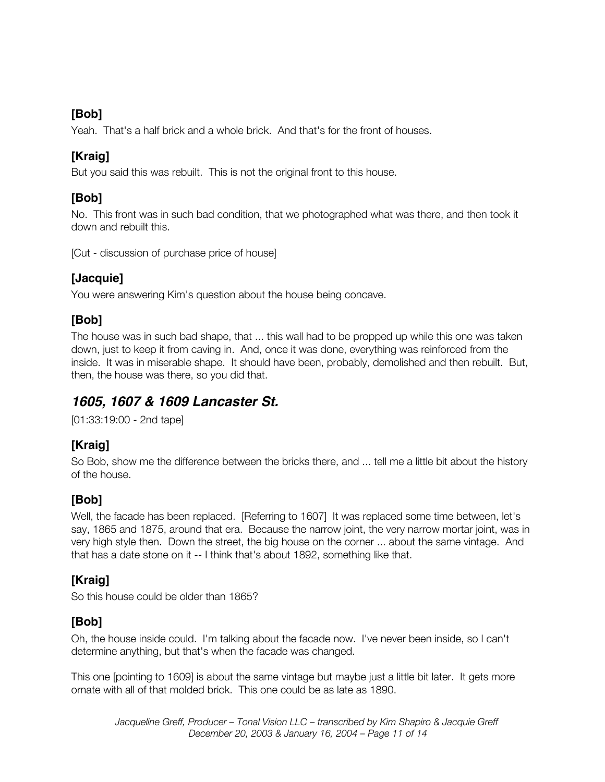#### **[Bob]**

Yeah. That's a half brick and a whole brick. And that's for the front of houses.

## **[Kraig]**

But you said this was rebuilt. This is not the original front to this house.

## **[Bob]**

No. This front was in such bad condition, that we photographed what was there, and then took it down and rebuilt this.

[Cut - discussion of purchase price of house]

## **[Jacquie]**

You were answering Kim's question about the house being concave.

# **[Bob]**

The house was in such bad shape, that ... this wall had to be propped up while this one was taken down, just to keep it from caving in. And, once it was done, everything was reinforced from the inside. It was in miserable shape. It should have been, probably, demolished and then rebuilt. But, then, the house was there, so you did that.

# **1605, 1607 & 1609 Lancaster St.**

[01:33:19:00 - 2nd tape]

# **[Kraig]**

So Bob, show me the difference between the bricks there, and ... tell me a little bit about the history of the house.

# **[Bob]**

Well, the facade has been replaced. [Referring to 1607] It was replaced some time between, let's say, 1865 and 1875, around that era. Because the narrow joint, the very narrow mortar joint, was in very high style then. Down the street, the big house on the corner ... about the same vintage. And that has a date stone on it -- I think that's about 1892, something like that.

# **[Kraig]**

So this house could be older than 1865?

# **[Bob]**

Oh, the house inside could. I'm talking about the facade now. I've never been inside, so I can't determine anything, but that's when the facade was changed.

This one [pointing to 1609] is about the same vintage but maybe just a little bit later. It gets more ornate with all of that molded brick. This one could be as late as 1890.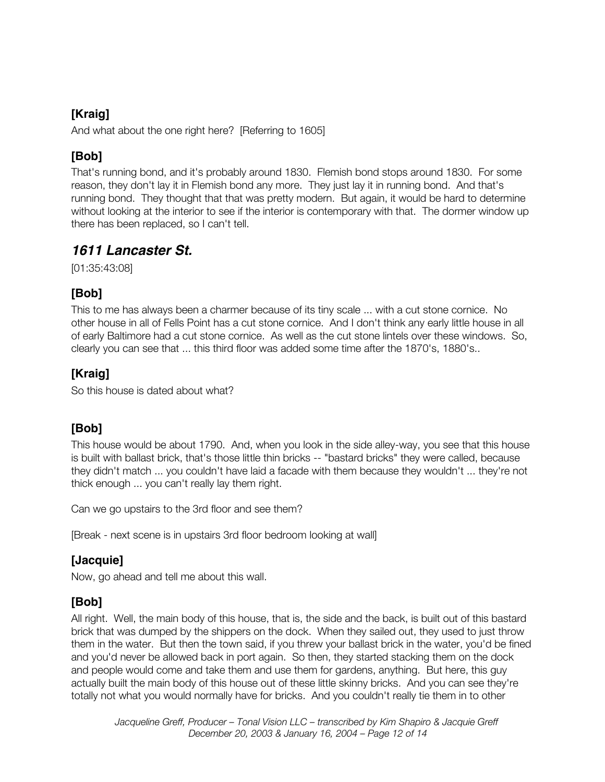## **[Kraig]**

And what about the one right here? [Referring to 1605]

## **[Bob]**

That's running bond, and it's probably around 1830. Flemish bond stops around 1830. For some reason, they don't lay it in Flemish bond any more. They just lay it in running bond. And that's running bond. They thought that that was pretty modern. But again, it would be hard to determine without looking at the interior to see if the interior is contemporary with that. The dormer window up there has been replaced, so I can't tell.

## **1611 Lancaster St.**

[01:35:43:08]

## **[Bob]**

This to me has always been a charmer because of its tiny scale ... with a cut stone cornice. No other house in all of Fells Point has a cut stone cornice. And I don't think any early little house in all of early Baltimore had a cut stone cornice. As well as the cut stone lintels over these windows. So, clearly you can see that ... this third floor was added some time after the 1870's, 1880's..

## **[Kraig]**

So this house is dated about what?

# **[Bob]**

This house would be about 1790. And, when you look in the side alley-way, you see that this house is built with ballast brick, that's those little thin bricks -- "bastard bricks" they were called, because they didn't match ... you couldn't have laid a facade with them because they wouldn't ... they're not thick enough ... you can't really lay them right.

Can we go upstairs to the 3rd floor and see them?

[Break - next scene is in upstairs 3rd floor bedroom looking at wall]

## **[Jacquie]**

Now, go ahead and tell me about this wall.

## **[Bob]**

All right. Well, the main body of this house, that is, the side and the back, is built out of this bastard brick that was dumped by the shippers on the dock. When they sailed out, they used to just throw them in the water. But then the town said, if you threw your ballast brick in the water, you'd be fined and you'd never be allowed back in port again. So then, they started stacking them on the dock and people would come and take them and use them for gardens, anything. But here, this guy actually built the main body of this house out of these little skinny bricks. And you can see they're totally not what you would normally have for bricks. And you couldn't really tie them in to other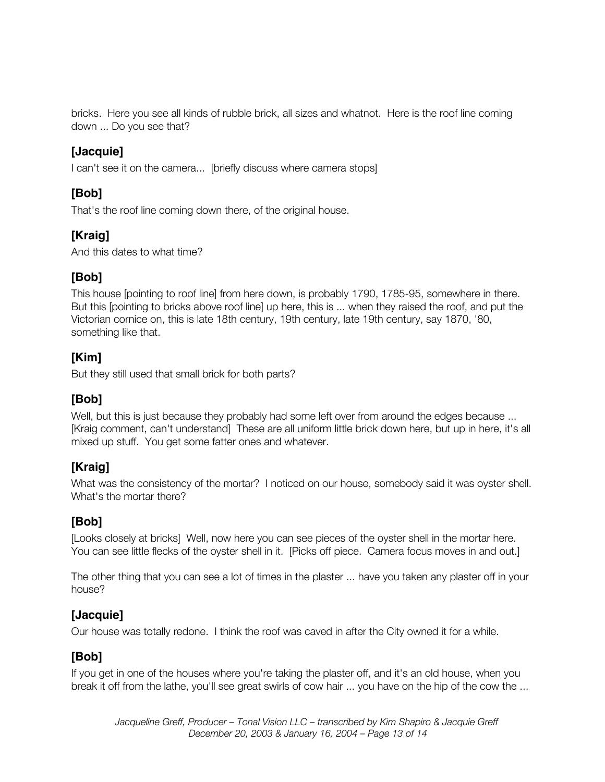bricks. Here you see all kinds of rubble brick, all sizes and whatnot. Here is the roof line coming down ... Do you see that?

#### **[Jacquie]**

I can't see it on the camera... [briefly discuss where camera stops]

#### **[Bob]**

That's the roof line coming down there, of the original house.

## **[Kraig]**

And this dates to what time?

#### **[Bob]**

This house [pointing to roof line] from here down, is probably 1790, 1785-95, somewhere in there. But this [pointing to bricks above roof line] up here, this is ... when they raised the roof, and put the Victorian cornice on, this is late 18th century, 19th century, late 19th century, say 1870, '80, something like that.

#### **[Kim]**

But they still used that small brick for both parts?

## **[Bob]**

Well, but this is just because they probably had some left over from around the edges because ... [Kraig comment, can't understand] These are all uniform little brick down here, but up in here, it's all mixed up stuff. You get some fatter ones and whatever.

## **[Kraig]**

What was the consistency of the mortar? I noticed on our house, somebody said it was oyster shell. What's the mortar there?

## **[Bob]**

[Looks closely at bricks] Well, now here you can see pieces of the oyster shell in the mortar here. You can see little flecks of the oyster shell in it. [Picks off piece. Camera focus moves in and out.]

The other thing that you can see a lot of times in the plaster ... have you taken any plaster off in your house?

## **[Jacquie]**

Our house was totally redone. I think the roof was caved in after the City owned it for a while.

## **[Bob]**

If you get in one of the houses where you're taking the plaster off, and it's an old house, when you break it off from the lathe, you'll see great swirls of cow hair ... you have on the hip of the cow the ...